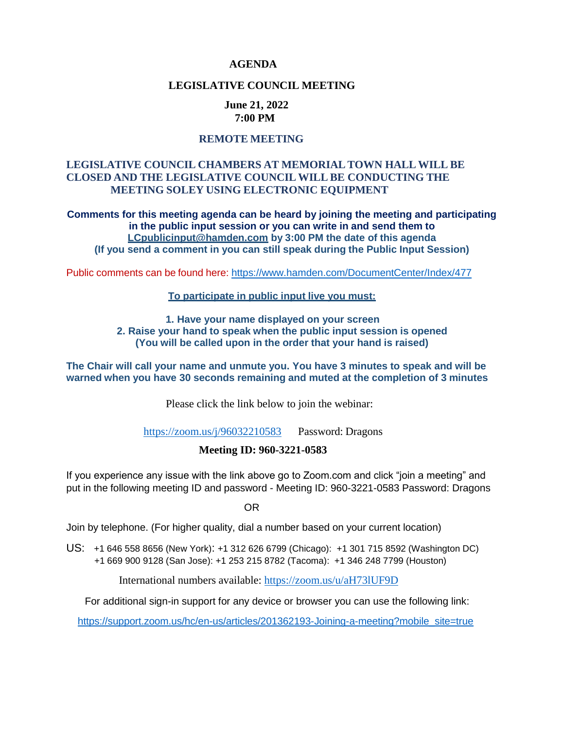## **AGENDA**

### **LEGISLATIVE COUNCIL MEETING**

#### **June 21, 2022 7:00 PM**

## **REMOTE MEETING**

## **LEGISLATIVE COUNCIL CHAMBERS AT MEMORIAL TOWN HALL WILL BE CLOSED AND THE LEGISLATIVE COUNCIL WILL BE CONDUCTING THE MEETING SOLEY USING ELECTRONIC EQUIPMENT**

**Comments for this meeting agenda can be heard by joining the meeting and participating in the public input session or you can write in and send them to [LCpublicinput@hamden.com](mailto:LCpublicinput@hamden.com) by 3:00 PM the date of this agenda (If you send a comment in you can still speak during the Public Input Session)**

Public comments can be found here: <https://www.hamden.com/DocumentCenter/Index/477>

#### **To participate in public input live you must:**

**1. Have your name displayed on your screen 2. Raise your hand to speak when the public input session is opened (You will be called upon in the order that your hand is raised)**

**The Chair will call your name and unmute you. You have 3 minutes to speak and will be warned when you have 30 seconds remaining and muted at the completion of 3 minutes**

Please click the link below to join the webinar:

<https://zoom.us/j/96032210583> Password: Dragons

### **Meeting ID: 960-3221-0583**

If you experience any issue with the link above go to Zoom.com and click "join a meeting" and put in the following meeting ID and password - Meeting ID: 960-3221-0583 Password: Dragons

OR

Join by telephone. (For higher quality, dial a number based on your current location)

US: +1 646 558 8656 (New York): +1 312 626 6799 (Chicago): +1 301 715 8592 (Washington DC) +1 669 900 9128 (San Jose): +1 253 215 8782 (Tacoma): +1 346 248 7799 (Houston)

International numbers available: <https://zoom.us/u/aH73lUF9D>

For additional sign-in support for any device or browser you can use the following link:

[https://support.zoom.us/hc/en-us/articles/201362193-Joining-a-meeting?mobile\\_site=true](https://support.zoom.us/hc/en-us/articles/201362193-Joining-a-meeting?mobile_site=true)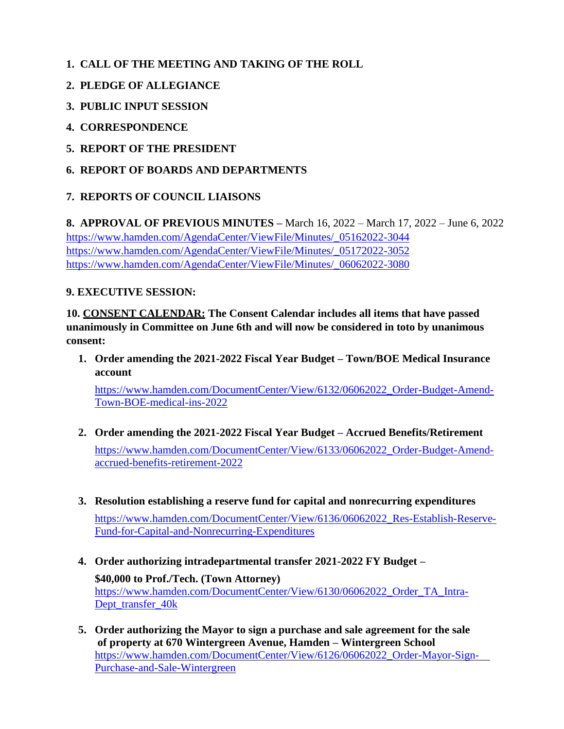- **1. CALL OF THE MEETING AND TAKING OF THE ROLL**
- **2. PLEDGE OF ALLEGIANCE**
- **3. PUBLIC INPUT SESSION**
- **4. CORRESPONDENCE**
- **5. REPORT OF THE PRESIDENT**
- **6. REPORT OF BOARDS AND DEPARTMENTS**

# **7. REPORTS OF COUNCIL LIAISONS**

**8. APPROVAL OF PREVIOUS MINUTES –** March 16, 2022 – March 17, 2022 – June 6, 2022 [https://www.hamden.com/AgendaCenter/ViewFile/Minutes/\\_05162022-3044](https://www.hamden.com/AgendaCenter/ViewFile/Minutes/_05162022-3044) [https://www.hamden.com/AgendaCenter/ViewFile/Minutes/\\_05172022-3052](https://www.hamden.com/AgendaCenter/ViewFile/Minutes/_05172022-3052) [https://www.hamden.com/AgendaCenter/ViewFile/Minutes/\\_06062022-3080](https://www.hamden.com/AgendaCenter/ViewFile/Minutes/_06062022-3080)

# **9. EXECUTIVE SESSION:**

**10. CONSENT CALENDAR: The Consent Calendar includes all items that have passed unanimously in Committee on June 6th and will now be considered in toto by unanimous consent:**

**1. Order amending the 2021-2022 Fiscal Year Budget – Town/BOE Medical Insurance account**

[https://www.hamden.com/DocumentCenter/View/6132/06062022\\_Order-Budget-Amend-](https://www.hamden.com/DocumentCenter/View/6132/06062022_Order-Budget-Amend-Town-BOE-medical-ins-2022)[Town-BOE-medical-ins-2022](https://www.hamden.com/DocumentCenter/View/6132/06062022_Order-Budget-Amend-Town-BOE-medical-ins-2022)

- **2. Order amending the 2021-2022 Fiscal Year Budget – Accrued Benefits/Retirement** [https://www.hamden.com/DocumentCenter/View/6133/06062022\\_Order-Budget-Amend](https://www.hamden.com/DocumentCenter/View/6133/06062022_Order-Budget-Amend-accrued-benefits-retirement-2022)[accrued-benefits-retirement-2022](https://www.hamden.com/DocumentCenter/View/6133/06062022_Order-Budget-Amend-accrued-benefits-retirement-2022)
- **3. Resolution establishing a reserve fund for capital and nonrecurring expenditures** [https://www.hamden.com/DocumentCenter/View/6136/06062022\\_Res-Establish-Reserve-](https://www.hamden.com/DocumentCenter/View/6136/06062022_Res-Establish-Reserve-Fund-for-Capital-and-Nonrecurring-Expenditures)[Fund-for-Capital-and-Nonrecurring-Expenditures](https://www.hamden.com/DocumentCenter/View/6136/06062022_Res-Establish-Reserve-Fund-for-Capital-and-Nonrecurring-Expenditures)
- **4. Order authorizing intradepartmental transfer 2021-2022 FY Budget – \$40,000 to Prof./Tech. (Town Attorney)** [https://www.hamden.com/DocumentCenter/View/6130/06062022\\_Order\\_TA\\_Intra-](https://www.hamden.com/DocumentCenter/View/6130/06062022_Order_TA_Intra-Dept_transfer_40k)Dept\_transfer\_40k
- **5. Order authorizing the Mayor to sign a purchase and sale agreement for the sale of property at 670 Wintergreen Avenue, Hamden – Wintergreen School**  [https://www.hamden.com/DocumentCenter/View/6126/06062022\\_Order-Mayor-Sign-](https://www.hamden.com/DocumentCenter/View/6126/06062022_Order-Mayor-Sign-%20%20%20%20Purchase-and-Sale-Wintergreen)[Purchase-and-Sale-Wintergreen](https://www.hamden.com/DocumentCenter/View/6126/06062022_Order-Mayor-Sign-%20%20%20%20Purchase-and-Sale-Wintergreen)